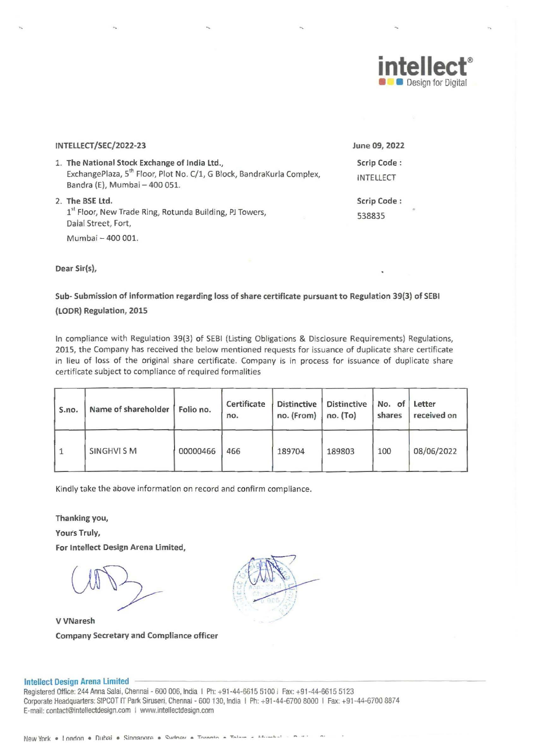

| INTELLECT/SEC/2022-23                                                                                                                                               | June 09, 2022                   |          |
|---------------------------------------------------------------------------------------------------------------------------------------------------------------------|---------------------------------|----------|
| 1. The National Stock Exchange of India Ltd.,<br>ExchangePlaza, 5 <sup>th</sup> Floor, Plot No. C/1, G Block, BandraKurla Complex,<br>Bandra (E), Mumbai - 400 051. | Scrip Code:<br><b>INTELLECT</b> |          |
| 2. The BSE Ltd.<br>1st Floor, New Trade Ring, Rotunda Building, PJ Towers,<br>Dalal Street, Fort,                                                                   | Scrip Code:<br>538835           | $\alpha$ |
| Mumbai - 400 001.                                                                                                                                                   |                                 |          |

Dear Sir(s),

Sub- Submission of information regarding loss of share certificate pursuant to Regulation 39(3) of SEBI (LODR) Regulation, 2015

In compliance with Regulation 39(3) of SEBI (Listing Obligations & Disclosure Requirements) Regulations, 2015, the Company has received the below mentioned requests for issuance of duplicate share certificate in lieu of loss of the original share certificate. Company is in process for issuance of duplicate share certificate subject to compliance of required formalities

| S.no.     | Name of shareholder | Folio no. | Certificate<br>no. | <b>Distinctive</b><br>no. (From) | <b>Distinctive</b><br>no. (To) | No. of<br>shares | Letter<br>received on |
|-----------|---------------------|-----------|--------------------|----------------------------------|--------------------------------|------------------|-----------------------|
| $\vert$ 1 | SINGHVI SM          | 00000466  | 466                | 189704                           | 189803                         | 100              | 08/06/2022            |

Kindly take the above information on record and confirm compliance.

Thanking you,

Yours Truly,

For Intellect Design Arena limited,

VVNaresh Company Secretary and Compliance officer



## Intellect Design Arena Limited

Registered Office: 244 Anna Salai, Chennai - 600 006, India I Ph: +91-44-6615 5100 I Fax: +91-44-6615 5123 Corporate Headquarters: SIPCOT IT Park Siruseri, Chennai - 600 130, India | Ph: +91-44-6700 8000 | Fax: +91-44-6700 8874 E-mail: contact@inteliectdesign.com | www.inteliectdesign.com